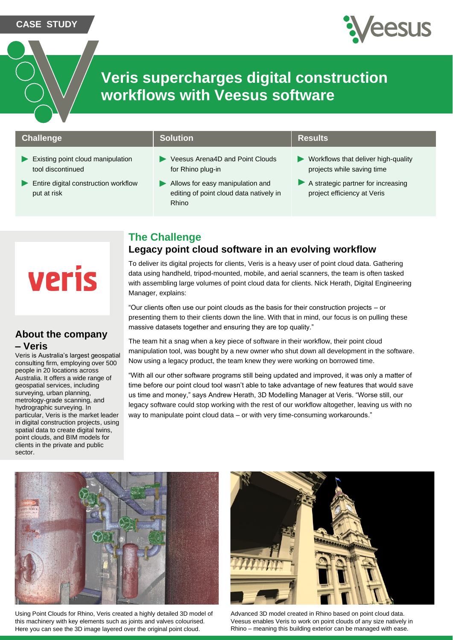### **CASE STUDY**



# **Veris supercharges digital construction workflows with Veesus software**

### **Challenge Solution Results Results**

- Existing point cloud manipulation tool discontinued
- $\blacktriangleright$ Entire digital construction workflow put at risk

- ▶ Veesus Arena4D and Point Clouds for Rhino plug-in
- Allows for easy manipulation and editing of point cloud data natively in Rhino

- Workflows that deliver high-quality projects while saving time
- A strategic partner for increasing project efficiency at Veris

# **The Challenge**

## **Legacy point cloud software in an evolving workflow**

To deliver its digital projects for clients, Veris is a heavy user of point cloud data. Gathering data using handheld, tripod-mounted, mobile, and aerial scanners, the team is often tasked with assembling large volumes of point cloud data for clients. Nick Herath, Digital Engineering Manager, explains:

"Our clients often use our point clouds as the basis for their construction projects – or presenting them to their clients down the line. With that in mind, our focus is on pulling these massive datasets together and ensuring they are top quality."

The team hit a snag when a key piece of software in their workflow, their point cloud manipulation tool, was bought by a new owner who shut down all development in the software. Now using a legacy product, the team knew they were working on borrowed time.

"With all our other software programs still being updated and improved, it was only a matter of time before our point cloud tool wasn't able to take advantage of new features that would save us time and money," says Andrew Herath, 3D Modelling Manager at Veris. "Worse still, our legacy software could stop working with the rest of our workflow altogether, leaving us with no way to manipulate point cloud data – or with very time-consuming workarounds."



Using Point Clouds for Rhino, Veris created a highly detailed 3D model of this machinery with key elements such as joints and valves colourised. Here you can see the 3D image layered over the original point cloud.



Advanced 3D model created in Rhino based on point cloud data. Veesus enables Veris to work on point clouds of any size natively in Rhino – meaning this building exterior can be managed with ease.

# **Veris**

## **About the company – Veris**

Veris is Australia's largest geospatial consulting firm, employing over 500 people in 20 locations across Australia. It offers a wide range of geospatial services, including surveying, urban planning, metrology-grade scanning, and hydrographic surveying. In particular, Veris is the market leader in digital construction projects, using spatial data to create digital twins, point clouds, and BIM models for clients in the private and public sector.